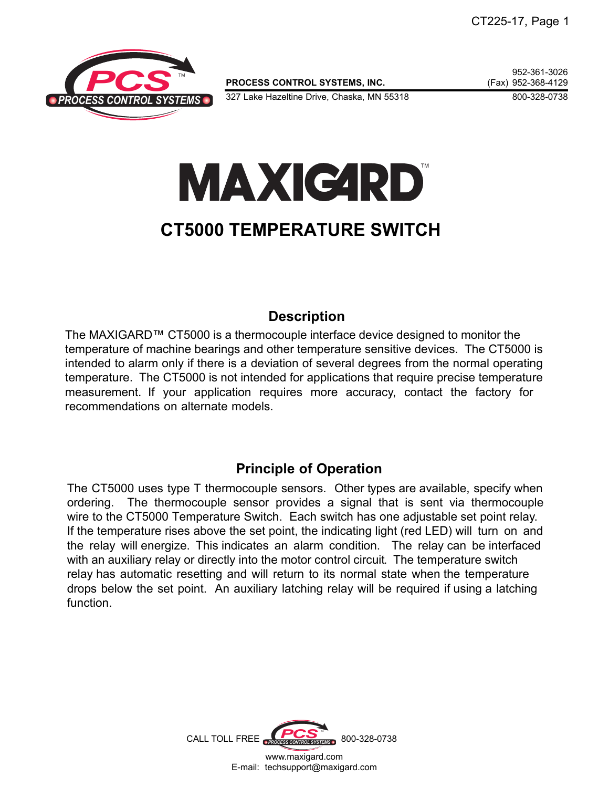

**PROCESS CONTROL SYSTEMS, INC.** 

952-361-3026<br>Fax) 952-368-4129

327 Lake Hazeltine Drive, Chaska, MN 55318 800-328-0738

# **MAXICARD**

## **CT5000 TEMPERATURE SWITCH**

## **Description**

The MAXIGARD™ CT5000 is a thermocouple interface device designed to monitor the temperature of machine bearings and other temperature sensitive devices. The CT5000 is intended to alarm only if there is a deviation of several degrees from the normal operating temperature. The CT5000 is not intended for applications that require precise temperature measurement. If your application requires more accuracy, contact the factory for recommendations on alternate models.

### **Principle of Operation**

The CT5000 uses type T thermocouple sensors. Other types are available, specify when ordering. The thermocouple sensor provides a signal that is sent via thermocouple wire to the CT5000 Temperature Switch. Each switch has one adjustable set point relay. If the temperature rises above the set point, the indicating light (red LED) will turn on and the relay will energize. This indicates an alarm condition. The relay can be interfaced with an auxiliary relay or directly into the motor control circuit. The temperature switch relay has automatic resetting and will return to its normal state when the temperature drops below the set point. An auxiliary latching relay will be required if using a latching function.

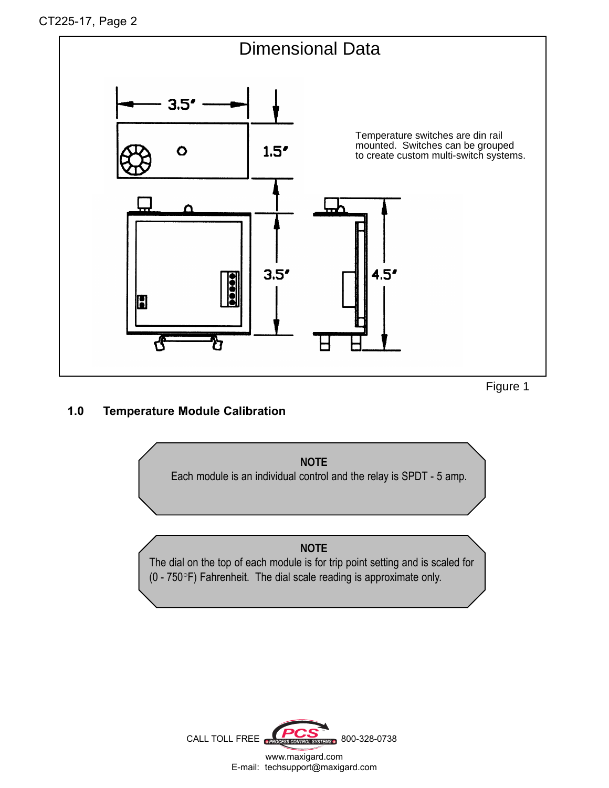

Figure 1

#### **1.0 Temperature Module Calibration**



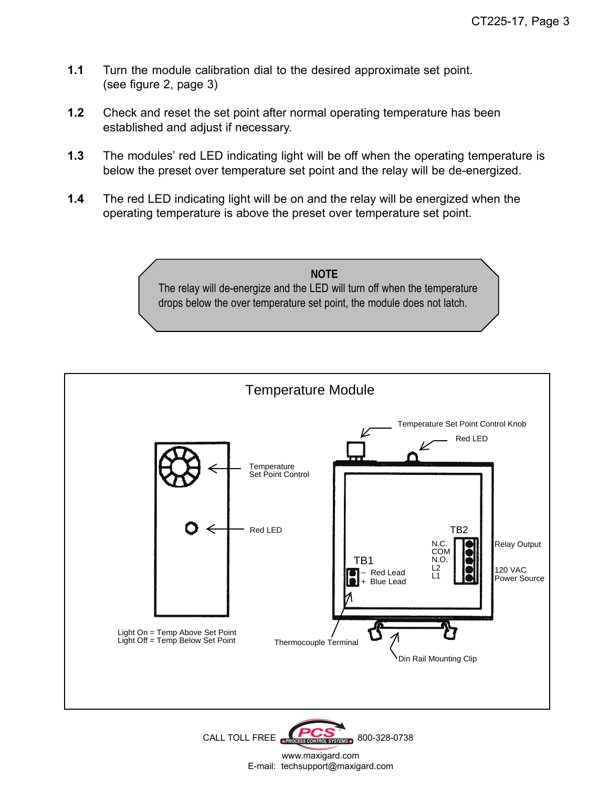- **1.1** Turn the module calibration dial to the desired approximate set point. (see figure 2, page 3)
- **1.2** Check and reset the set point after normal operating temperature has been established and adjust if necessary.
- **1.3** The modules' red LED indicating light will be off when the operating temperature is below the preset over temperature set point and the relay will be de-energized.
- **1.4** The red LED indicating light will be on and the relay will be energized when the operating temperature is above the preset over temperature set point.





CALL TOLL FREE **PROCESS CONTROL SYSTEMS** 800-328-0738 www.maxigard.com E-mail: techsupport@maxigard.com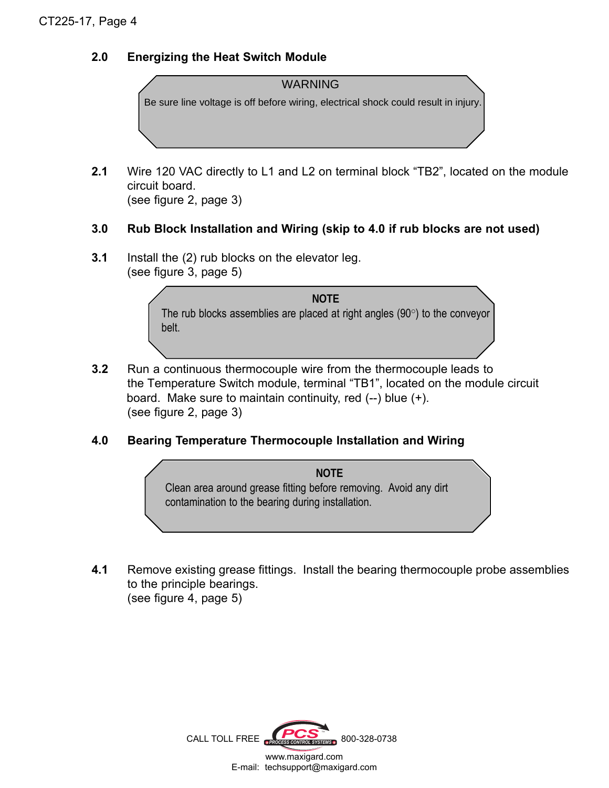#### **2.0 Energizing the Heat Switch Module**



**2.1** Wire 120 VAC directly to L1 and L2 on terminal block "TB2", located on the module circuit board. (see figure 2, page 3)

#### **3.0 Rub Block Installation and Wiring (skip to 4.0 if rub blocks are not used)**

**3.1** Install the (2) rub blocks on the elevator leg. (see figure 3, page 5)

> **NOTE** The rub blocks assemblies are placed at right angles  $(90^{\circ})$  to the conveyor belt.

- **3.2** Run a continuous thermocouple wire from the thermocouple leads to the Temperature Switch module, terminal "TB1", located on the module circuit board. Make sure to maintain continuity, red  $(-)$  blue  $(+)$ . (see figure 2, page 3)
- **4.0 Bearing Temperature Thermocouple Installation and Wiring**



 **4.1** Remove existing grease fittings. Install the bearing thermocouple probe assemblies to the principle bearings. (see figure 4, page 5)

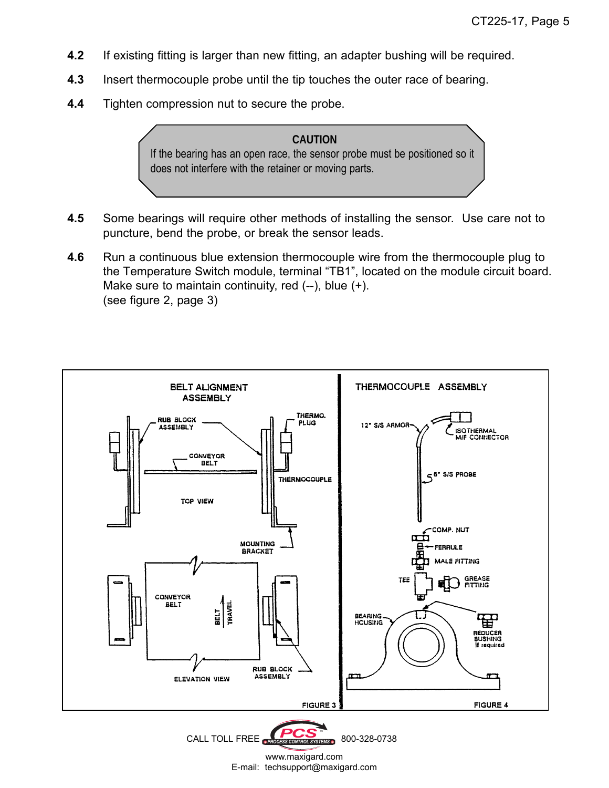- **4.2** If existing fitting is larger than new fitting, an adapter bushing will be required.
- **4.3** Insert thermocouple probe until the tip touches the outer race of bearing.
- **4.4** Tighten compression nut to secure the probe.



- **4.5** Some bearings will require other methods of installing the sensor. Use care not to puncture, bend the probe, or break the sensor leads.
- **4.6** Run a continuous blue extension thermocouple wire from the thermocouple plug to the Temperature Switch module, terminal "TB1", located on the module circuit board. Make sure to maintain continuity, red (--), blue (+). (see figure 2, page 3)





www.maxigard.com E-mail: techsupport@maxigard.com